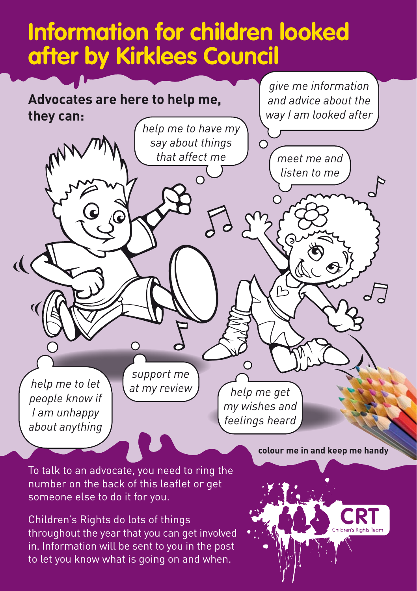## **Information for children looked after by Kirklees Council**



To talk to an advocate, you need to ring the number on the back of this leaflet or get someone else to do it for you.

Children's Rights do lots of things throughout the year that you can get involved in. Information will be sent to you in the post to let you know what is going on and when.